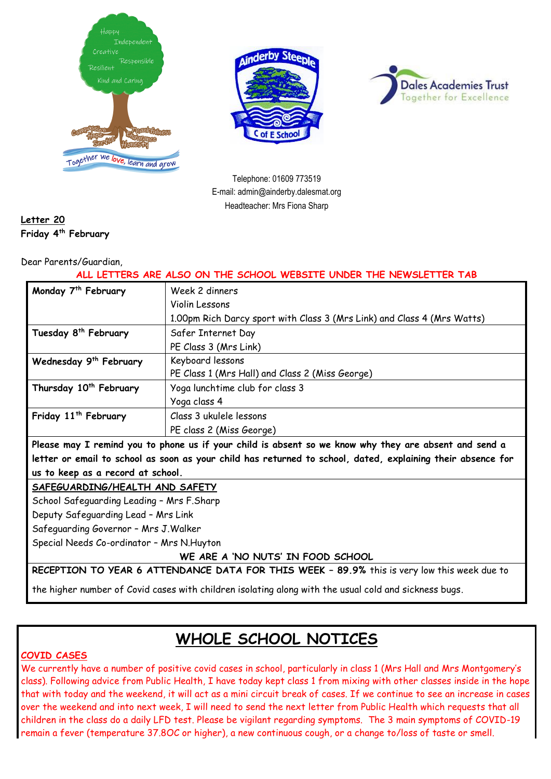





Telephone: 01609 773519 E-mail: admin@ainderby.dalesmat.org Headteacher: Mrs Fiona Sharp

#### **Letter 20 Friday 4 th February**

#### Dear Parents/Guardian,

#### **ALL LETTERS ARE ALSO ON THE SCHOOL WEBSITE UNDER THE NEWSLETTER TAB**

| Monday 7 <sup>th</sup> February                                                                       | Week 2 dinners                                                          |
|-------------------------------------------------------------------------------------------------------|-------------------------------------------------------------------------|
|                                                                                                       | Violin Lessons                                                          |
|                                                                                                       | 1.00pm Rich Darcy sport with Class 3 (Mrs Link) and Class 4 (Mrs Watts) |
| Tuesday 8 <sup>th</sup> February                                                                      | Safer Internet Day                                                      |
|                                                                                                       | PE Class 3 (Mrs Link)                                                   |
| Wednesday 9 <sup>th</sup> February                                                                    | Keyboard lessons                                                        |
|                                                                                                       | PE Class 1 (Mrs Hall) and Class 2 (Miss George)                         |
| Thursday 10 <sup>th</sup> February                                                                    | Yoga lunchtime club for class 3                                         |
|                                                                                                       | Yoga class 4                                                            |
| Friday 11 <sup>th</sup> February                                                                      | Class 3 ukulele lessons                                                 |
|                                                                                                       | PE class 2 (Miss George)                                                |
| Please may I remind you to phone us if your child is absent so we know why they are absent and send a |                                                                         |

**letter or email to school as soon as your child has returned to school, dated, explaining their absence for us to keep as a record at school.**

#### **SAFEGUARDING/HEALTH AND SAFETY**

School Safeguarding Leading – Mrs F.Sharp

Deputy Safeguarding Lead – Mrs Link

Safeguarding Governor – Mrs J.Walker

Special Needs Co-ordinator – Mrs N.Huyton

**WE ARE A 'NO NUTS' IN FOOD SCHOOL**

**RECEPTION TO YEAR 6 ATTENDANCE DATA FOR THIS WEEK – 89.9%** this is very low this week due to

the higher number of Covid cases with children isolating along with the usual cold and sickness bugs.

# **WHOLE SCHOOL NOTICES**

#### **COVID CASES**

We currently have a number of positive covid cases in school, particularly in class 1 (Mrs Hall and Mrs Montgomery's class). Following advice from Public Health, I have today kept class 1 from mixing with other classes inside in the hope that with today and the weekend, it will act as a mini circuit break of cases. If we continue to see an increase in cases over the weekend and into next week, I will need to send the next letter from Public Health which requests that all children in the class do a daily LFD test. Please be vigilant regarding symptoms. The 3 main symptoms of COVID-19 remain a fever (temperature 37.8OC or higher), a new continuous cough, or a change to/loss of taste or smell.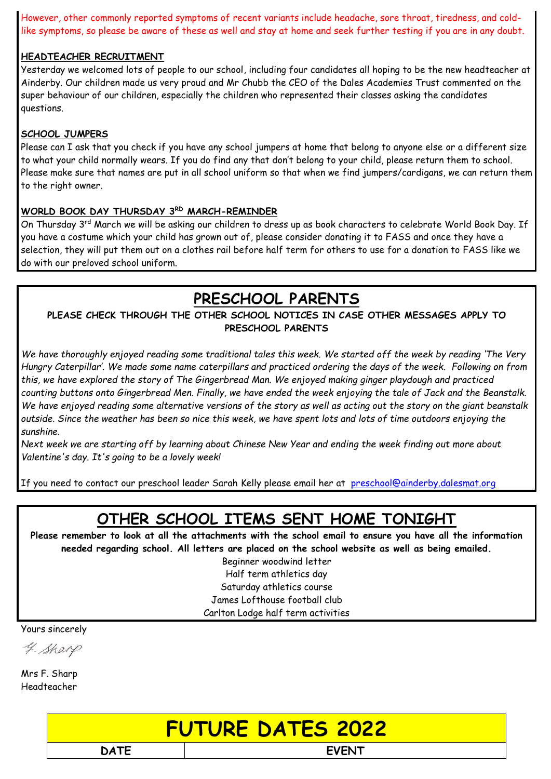However, other commonly reported symptoms of recent variants include headache, sore throat, tiredness, and coldlike symptoms, so please be aware of these as well and stay at home and seek further testing if you are in any doubt.

#### **HEADTEACHER RECRUITMENT**

Yesterday we welcomed lots of people to our school, including four candidates all hoping to be the new headteacher at Ainderby. Our children made us very proud and Mr Chubb the CEO of the Dales Academies Trust commented on the super behaviour of our children, especially the children who represented their classes asking the candidates questions.

#### **SCHOOL JUMPERS**

Please can I ask that you check if you have any school jumpers at home that belong to anyone else or a different size to what your child normally wears. If you do find any that don't belong to your child, please return them to school. Please make sure that names are put in all school uniform so that when we find jumpers/cardigans, we can return them to the right owner.

#### **WORLD BOOK DAY THURSDAY 3RD MARCH-REMINDER**

On Thursday 3rd March we will be asking our children to dress up as book characters to celebrate World Book Day. If you have a costume which your child has grown out of, please consider donating it to FASS and once they have a selection, they will put them out on a clothes rail before half term for others to use for a donation to FASS like we do with our preloved school uniform.

# **PRESCHOOL PARENTS**

#### **PLEASE CHECK THROUGH THE OTHER SCHOOL NOTICES IN CASE OTHER MESSAGES APPLY TO PRESCHOOL PARENTS**

*We have thoroughly enjoyed reading some traditional tales this week. We started off the week by reading 'The Very Hungry Caterpillar'. We made some name caterpillars and practiced ordering the days of the week. Following on from this, we have explored the story of The Gingerbread Man. We enjoyed making ginger playdough and practiced counting buttons onto Gingerbread Men. Finally, we have ended the week enjoying the tale of Jack and the Beanstalk. We have enjoyed reading some alternative versions of the story as well as acting out the story on the giant beanstalk outside. Since the weather has been so nice this week, we have spent lots and lots of time outdoors enjoying the sunshine.*

*Next week we are starting off by learning about Chinese New Year and ending the week finding out more about Valentine's day. It's going to be a lovely week!*

If you need to contact our preschool leader Sarah Kelly please email her at [preschool@ainderby.dalesmat.org](mailto:preschool@ainderby.dalesmat.org)

### **OTHER SCHOOL ITEMS SENT HOME TONIGHT**

**Please remember to look at all the attachments with the school email to ensure you have all the information needed regarding school. All letters are placed on the school website as well as being emailed.**

Beginner woodwind letter Half term athletics day Saturday athletics course James Lofthouse football club

Carlton Lodge half term activities

Yours sincerely

4. Sharp

Mrs F. Sharp Headteacher

# **FUTURE DATES 2022**

**DATE EVENT**